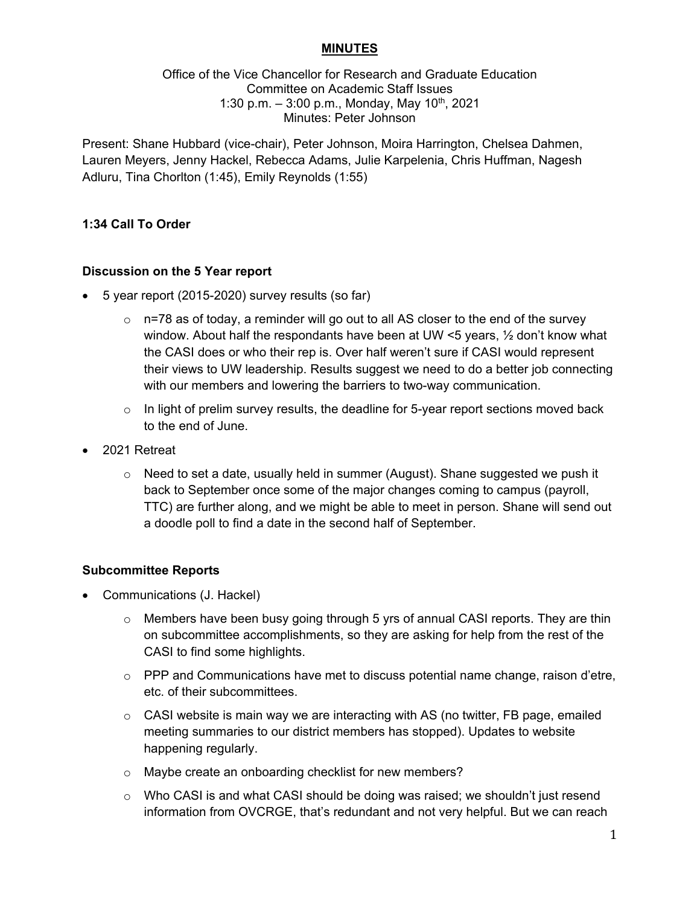## **MINUTES**

Office of the Vice Chancellor for Research and Graduate Education Committee on Academic Staff Issues 1:30 p.m.  $-$  3:00 p.m., Monday, May 10<sup>th</sup>, 2021 Minutes: Peter Johnson

Present: Shane Hubbard (vice-chair), Peter Johnson, Moira Harrington, Chelsea Dahmen, Lauren Meyers, Jenny Hackel, Rebecca Adams, Julie Karpelenia, Chris Huffman, Nagesh Adluru, Tina Chorlton (1:45), Emily Reynolds (1:55)

#### **1:34 Call To Order**

#### **Discussion on the 5 Year report**

- 5 year report (2015-2020) survey results (so far)
	- $\circ$  n=78 as of today, a reminder will go out to all AS closer to the end of the survey window. About half the respondants have been at UW <5 years, ½ don't know what the CASI does or who their rep is. Over half weren't sure if CASI would represent their views to UW leadership. Results suggest we need to do a better job connecting with our members and lowering the barriers to two-way communication.
	- $\circ$  In light of prelim survey results, the deadline for 5-year report sections moved back to the end of June.
- 2021 Retreat
	- $\circ$  Need to set a date, usually held in summer (August). Shane suggested we push it back to September once some of the major changes coming to campus (payroll, TTC) are further along, and we might be able to meet in person. Shane will send out a doodle poll to find a date in the second half of September.

#### **Subcommittee Reports**

- Communications (J. Hackel)
	- $\circ$  Members have been busy going through 5 yrs of annual CASI reports. They are thin on subcommittee accomplishments, so they are asking for help from the rest of the CASI to find some highlights.
	- $\circ$  PPP and Communications have met to discuss potential name change, raison d'etre, etc. of their subcommittees.
	- $\circ$  CASI website is main way we are interacting with AS (no twitter, FB page, emailed meeting summaries to our district members has stopped). Updates to website happening regularly.
	- o Maybe create an onboarding checklist for new members?
	- $\circ$  Who CASI is and what CASI should be doing was raised; we shouldn't just resend information from OVCRGE, that's redundant and not very helpful. But we can reach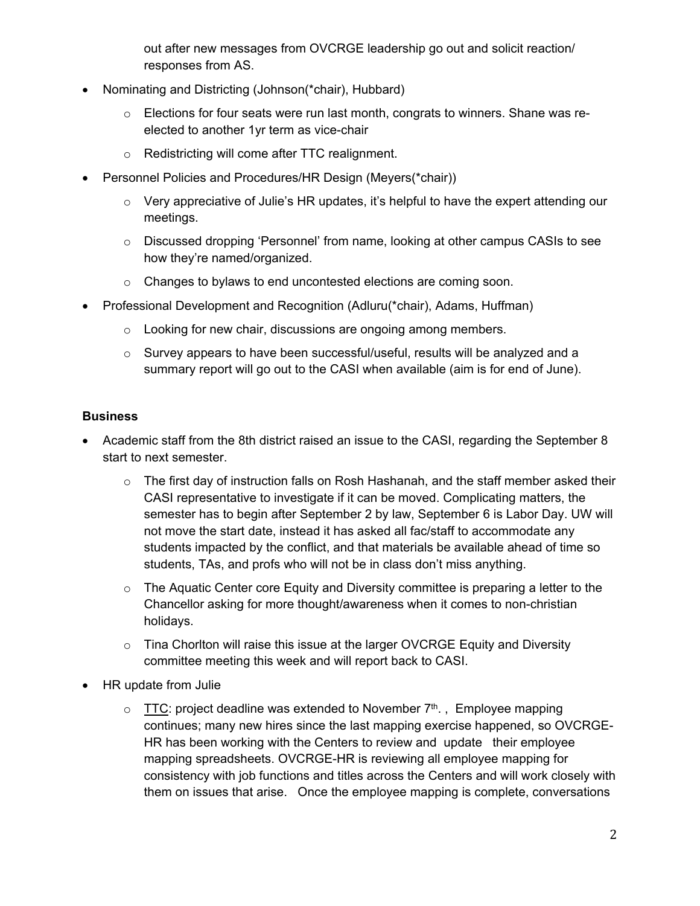out after new messages from OVCRGE leadership go out and solicit reaction/ responses from AS.

- Nominating and Districting (Johnson(\*chair), Hubbard)
	- o Elections for four seats were run last month, congrats to winners. Shane was reelected to another 1yr term as vice-chair
	- o Redistricting will come after TTC realignment.
- Personnel Policies and Procedures/HR Design (Meyers(\*chair))
	- o Very appreciative of Julie's HR updates, it's helpful to have the expert attending our meetings.
	- o Discussed dropping 'Personnel' from name, looking at other campus CASIs to see how they're named/organized.
	- o Changes to bylaws to end uncontested elections are coming soon.
- Professional Development and Recognition (Adluru(\*chair), Adams, Huffman)
	- o Looking for new chair, discussions are ongoing among members.
	- o Survey appears to have been successful/useful, results will be analyzed and a summary report will go out to the CASI when available (aim is for end of June).

# **Business**

- Academic staff from the 8th district raised an issue to the CASI, regarding the September 8 start to next semester.
	- $\circ$  The first day of instruction falls on Rosh Hashanah, and the staff member asked their CASI representative to investigate if it can be moved. Complicating matters, the semester has to begin after September 2 by law, September 6 is Labor Day. UW will not move the start date, instead it has asked all fac/staff to accommodate any students impacted by the conflict, and that materials be available ahead of time so students, TAs, and profs who will not be in class don't miss anything.
	- $\circ$  The Aquatic Center core Equity and Diversity committee is preparing a letter to the Chancellor asking for more thought/awareness when it comes to non-christian holidays.
	- o Tina Chorlton will raise this issue at the larger OVCRGE Equity and Diversity committee meeting this week and will report back to CASI.
- HR update from Julie
	- $\circ$  TTC: project deadline was extended to November  $7<sup>th</sup>$ ., Employee mapping continues; many new hires since the last mapping exercise happened, so OVCRGE-HR has been working with the Centers to review and update their employee mapping spreadsheets. OVCRGE-HR is reviewing all employee mapping for consistency with job functions and titles across the Centers and will work closely with them on issues that arise. Once the employee mapping is complete, conversations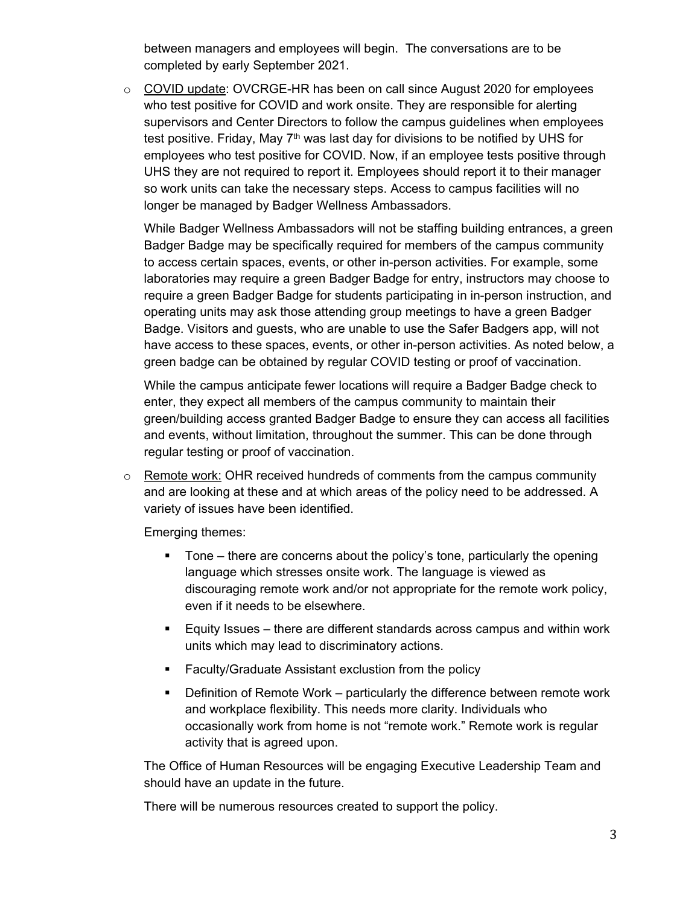between managers and employees will begin. The conversations are to be completed by early September 2021.

o COVID update: OVCRGE-HR has been on call since August 2020 for employees who test positive for COVID and work onsite. They are responsible for alerting supervisors and Center Directors to follow the campus guidelines when employees test positive. Friday, May  $7<sup>th</sup>$  was last day for divisions to be notified by UHS for employees who test positive for COVID. Now, if an employee tests positive through UHS they are not required to report it. Employees should report it to their manager so work units can take the necessary steps. Access to campus facilities will no longer be managed by Badger Wellness Ambassadors.

While Badger Wellness Ambassadors will not be staffing building entrances, a green Badger Badge may be specifically required for members of the campus community to access certain spaces, events, or other in-person activities. For example, some laboratories may require a green Badger Badge for entry, instructors may choose to require a green Badger Badge for students participating in in-person instruction, and operating units may ask those attending group meetings to have a green Badger Badge. Visitors and guests, who are unable to use the Safer Badgers app, will not have access to these spaces, events, or other in-person activities. As noted below, a green badge can be obtained by regular COVID testing or proof of vaccination.

While the campus anticipate fewer locations will require a Badger Badge check to enter, they expect all members of the campus community to maintain their green/building access granted Badger Badge to ensure they can access all facilities and events, without limitation, throughout the summer. This can be done through regular testing or proof of vaccination.

 $\circ$  Remote work: OHR received hundreds of comments from the campus community and are looking at these and at which areas of the policy need to be addressed. A variety of issues have been identified.

Emerging themes:

- Tone there are concerns about the policy's tone, particularly the opening language which stresses onsite work. The language is viewed as discouraging remote work and/or not appropriate for the remote work policy, even if it needs to be elsewhere.
- Equity Issues there are different standards across campus and within work units which may lead to discriminatory actions.
- **Faculty/Graduate Assistant exclustion from the policy**
- **•** Definition of Remote Work particularly the difference between remote work and workplace flexibility. This needs more clarity. Individuals who occasionally work from home is not "remote work." Remote work is regular activity that is agreed upon.

The Office of Human Resources will be engaging Executive Leadership Team and should have an update in the future.

There will be numerous resources created to support the policy.